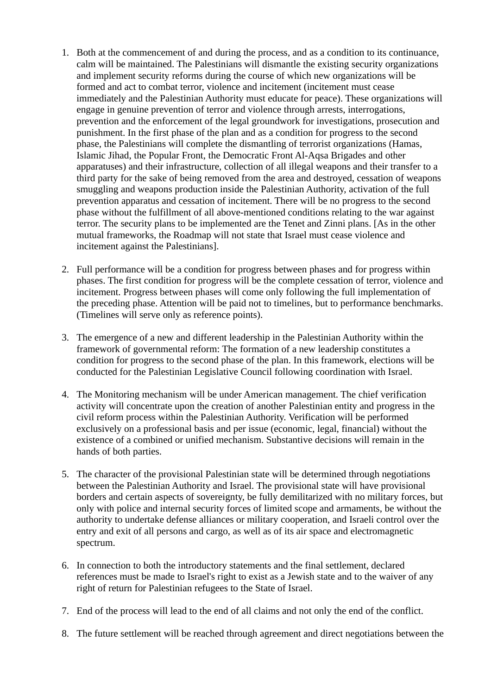- 1. Both at the commencement of and during the process, and as a condition to its continuance, calm will be maintained. The Palestinians will dismantle the existing security organizations and implement security reforms during the course of which new organizations will be formed and act to combat terror, violence and incitement (incitement must cease immediately and the Palestinian Authority must educate for peace). These organizations will engage in genuine prevention of terror and violence through arrests, interrogations, prevention and the enforcement of the legal groundwork for investigations, prosecution and punishment. In the first phase of the plan and as a condition for progress to the second phase, the Palestinians will complete the dismantling of terrorist organizations (Hamas, Islamic Jihad, the Popular Front, the Democratic Front Al-Aqsa Brigades and other apparatuses) and their infrastructure, collection of all illegal weapons and their transfer to a third party for the sake of being removed from the area and destroyed, cessation of weapons smuggling and weapons production inside the Palestinian Authority, activation of the full prevention apparatus and cessation of incitement. There will be no progress to the second phase without the fulfillment of all above-mentioned conditions relating to the war against terror. The security plans to be implemented are the Tenet and Zinni plans. [As in the other mutual frameworks, the Roadmap will not state that Israel must cease violence and incitement against the Palestinians].
- 2. Full performance will be a condition for progress between phases and for progress within phases. The first condition for progress will be the complete cessation of terror, violence and incitement. Progress between phases will come only following the full implementation of the preceding phase. Attention will be paid not to timelines, but to performance benchmarks. (Timelines will serve only as reference points).
- 3. The emergence of a new and different leadership in the Palestinian Authority within the framework of governmental reform: The formation of a new leadership constitutes a condition for progress to the second phase of the plan. In this framework, elections will be conducted for the Palestinian Legislative Council following coordination with Israel.
- 4. The Monitoring mechanism will be under American management. The chief verification activity will concentrate upon the creation of another Palestinian entity and progress in the civil reform process within the Palestinian Authority. Verification will be performed exclusively on a professional basis and per issue (economic, legal, financial) without the existence of a combined or unified mechanism. Substantive decisions will remain in the hands of both parties.
- 5. The character of the provisional Palestinian state will be determined through negotiations between the Palestinian Authority and Israel. The provisional state will have provisional borders and certain aspects of sovereignty, be fully demilitarized with no military forces, but only with police and internal security forces of limited scope and armaments, be without the authority to undertake defense alliances or military cooperation, and Israeli control over the entry and exit of all persons and cargo, as well as of its air space and electromagnetic spectrum.
- 6. In connection to both the introductory statements and the final settlement, declared references must be made to Israel's right to exist as a Jewish state and to the waiver of any right of return for Palestinian refugees to the State of Israel.
- 7. End of the process will lead to the end of all claims and not only the end of the conflict.
- 8. The future settlement will be reached through agreement and direct negotiations between the